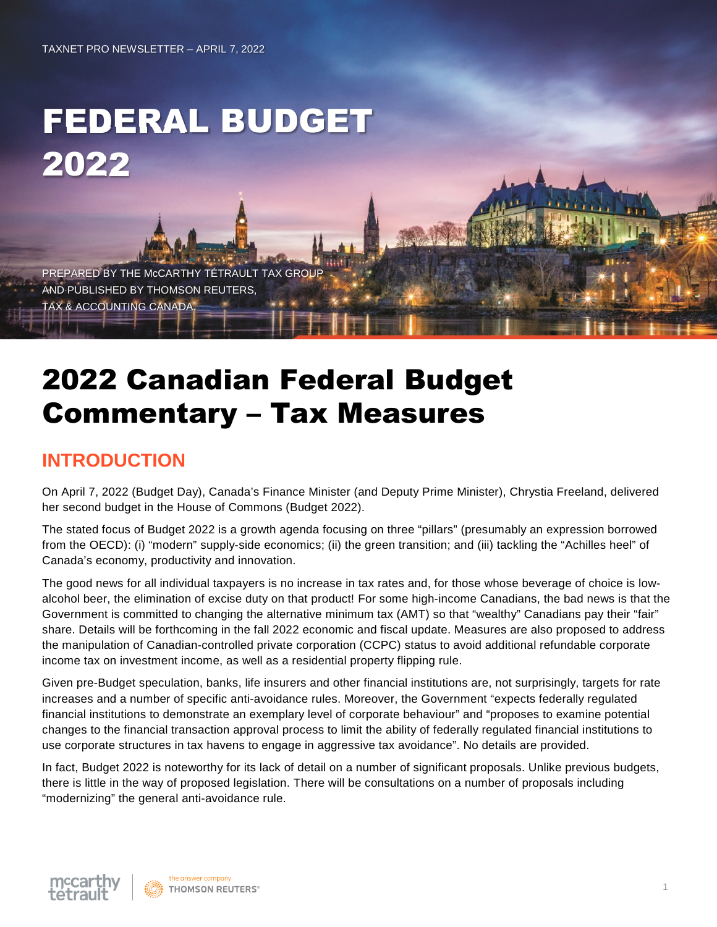# FEDERAL BUDGET 2022

PREPARED BY THE McCARTHY TÉTRAULT TAX GROUP AND PUBLISHED BY THOMSON REUTERS, TAX & ACCOUNTING CANADA.

## 2022 Canadian Federal Budget Commentary – Tax Measures

## **INTRODUCTION**

On April 7, 2022 (Budget Day), Canada's Finance Minister (and Deputy Prime Minister), Chrystia Freeland, delivered her second budget in the House of Commons (Budget 2022).

The stated focus of Budget 2022 is a growth agenda focusing on three "pillars" (presumably an expression borrowed from the OECD): (i) "modern" supply-side economics; (ii) the green transition; and (iii) tackling the "Achilles heel" of Canada's economy, productivity and innovation.

The good news for all individual taxpayers is no increase in tax rates and, for those whose beverage of choice is lowalcohol beer, the elimination of excise duty on that product! For some high-income Canadians, the bad news is that the Government is committed to changing the alternative minimum tax (AMT) so that "wealthy" Canadians pay their "fair" share. Details will be forthcoming in the fall 2022 economic and fiscal update. Measures are also proposed to address the manipulation of Canadian-controlled private corporation (CCPC) status to avoid additional refundable corporate income tax on investment income, as well as a residential property flipping rule.

Given pre-Budget speculation, banks, life insurers and other financial institutions are, not surprisingly, targets for rate increases and a number of specific anti-avoidance rules. Moreover, the Government "expects federally regulated financial institutions to demonstrate an exemplary level of corporate behaviour" and "proposes to examine potential changes to the financial transaction approval process to limit the ability of federally regulated financial institutions to use corporate structures in tax havens to engage in aggressive tax avoidance". No details are provided.

In fact, Budget 2022 is noteworthy for its lack of detail on a number of significant proposals. Unlike previous budgets, there is little in the way of proposed legislation. There will be consultations on a number of proposals including "modernizing" the general anti-avoidance rule.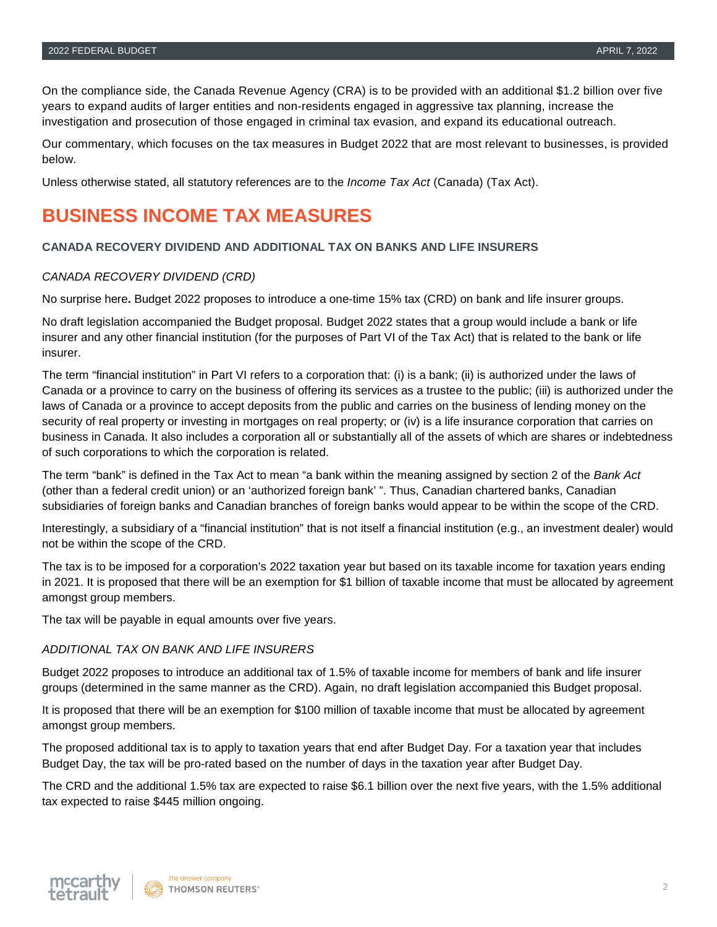On the compliance side, the Canada Revenue Agency (CRA) is to be provided with an additional \$1.2 billion over five years to expand audits of larger entities and non-residents engaged in aggressive tax planning, increase the investigation and prosecution of those engaged in criminal tax evasion, and expand its educational outreach.

Our commentary, which focuses on the tax measures in Budget 2022 that are most relevant to businesses, is provided below.

Unless otherwise stated, all statutory references are to the *Income Tax Act* (Canada) (Tax Act).

## **BUSINESS INCOME TAX MEASURES**

#### **CANADA RECOVERY DIVIDEND AND ADDITIONAL TAX ON BANKS AND LIFE INSURERS**

#### *CANADA RECOVERY DIVIDEND (CRD)*

No surprise here**.** Budget 2022 proposes to introduce a one-time 15% tax (CRD) on bank and life insurer groups.

No draft legislation accompanied the Budget proposal. Budget 2022 states that a group would include a bank or life insurer and any other financial institution (for the purposes of Part VI of the Tax Act) that is related to the bank or life insurer.

The term "financial institution" in Part VI refers to a corporation that: (i) is a bank; (ii) is authorized under the laws of Canada or a province to carry on the business of offering its services as a trustee to the public; (iii) is authorized under the laws of Canada or a province to accept deposits from the public and carries on the business of lending money on the security of real property or investing in mortgages on real property; or (iv) is a life insurance corporation that carries on business in Canada. It also includes a corporation all or substantially all of the assets of which are shares or indebtedness of such corporations to which the corporation is related.

The term "bank" is defined in the Tax Act to mean "a bank within the meaning assigned by section 2 of the *Bank Act* (other than a federal credit union) or an 'authorized foreign bank' ". Thus, Canadian chartered banks, Canadian subsidiaries of foreign banks and Canadian branches of foreign banks would appear to be within the scope of the CRD.

Interestingly, a subsidiary of a "financial institution" that is not itself a financial institution (e.g., an investment dealer) would not be within the scope of the CRD.

The tax is to be imposed for a corporation's 2022 taxation year but based on its taxable income for taxation years ending in 2021. It is proposed that there will be an exemption for \$1 billion of taxable income that must be allocated by agreement amongst group members.

The tax will be payable in equal amounts over five years.

#### *ADDITIONAL TAX ON BANK AND LIFE INSURERS*

Budget 2022 proposes to introduce an additional tax of 1.5% of taxable income for members of bank and life insurer groups (determined in the same manner as the CRD). Again, no draft legislation accompanied this Budget proposal.

It is proposed that there will be an exemption for \$100 million of taxable income that must be allocated by agreement amongst group members.

The proposed additional tax is to apply to taxation years that end after Budget Day. For a taxation year that includes Budget Day, the tax will be pro-rated based on the number of days in the taxation year after Budget Day.

The CRD and the additional 1.5% tax are expected to raise \$6.1 billion over the next five years, with the 1.5% additional tax expected to raise \$445 million ongoing.

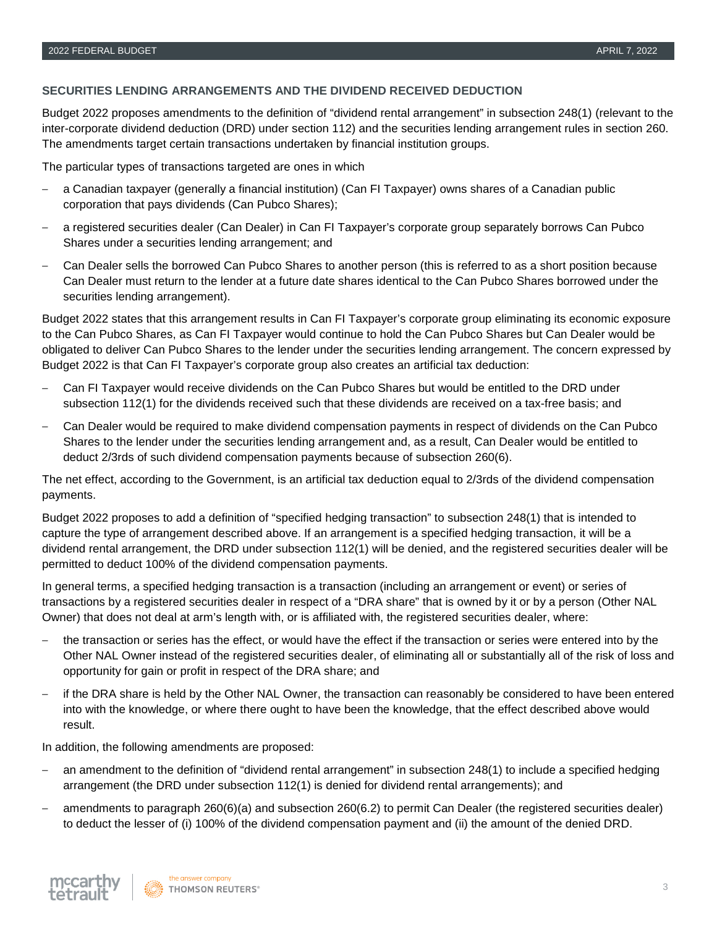#### **SECURITIES LENDING ARRANGEMENTS AND THE DIVIDEND RECEIVED DEDUCTION**

Budget 2022 proposes amendments to the definition of "dividend rental arrangement" in subsection 248(1) (relevant to the inter-corporate dividend deduction (DRD) under section 112) and the securities lending arrangement rules in section 260. The amendments target certain transactions undertaken by financial institution groups.

The particular types of transactions targeted are ones in which

- ‒ a Canadian taxpayer (generally a financial institution) (Can FI Taxpayer) owns shares of a Canadian public corporation that pays dividends (Can Pubco Shares);
- ‒ a registered securities dealer (Can Dealer) in Can FI Taxpayer's corporate group separately borrows Can Pubco Shares under a securities lending arrangement; and
- ‒ Can Dealer sells the borrowed Can Pubco Shares to another person (this is referred to as a short position because Can Dealer must return to the lender at a future date shares identical to the Can Pubco Shares borrowed under the securities lending arrangement).

Budget 2022 states that this arrangement results in Can FI Taxpayer's corporate group eliminating its economic exposure to the Can Pubco Shares, as Can FI Taxpayer would continue to hold the Can Pubco Shares but Can Dealer would be obligated to deliver Can Pubco Shares to the lender under the securities lending arrangement. The concern expressed by Budget 2022 is that Can FI Taxpayer's corporate group also creates an artificial tax deduction:

- ‒ Can FI Taxpayer would receive dividends on the Can Pubco Shares but would be entitled to the DRD under subsection 112(1) for the dividends received such that these dividends are received on a tax-free basis; and
- ‒ Can Dealer would be required to make dividend compensation payments in respect of dividends on the Can Pubco Shares to the lender under the securities lending arrangement and, as a result, Can Dealer would be entitled to deduct 2/3rds of such dividend compensation payments because of subsection 260(6).

The net effect, according to the Government, is an artificial tax deduction equal to 2/3rds of the dividend compensation payments.

Budget 2022 proposes to add a definition of "specified hedging transaction" to subsection 248(1) that is intended to capture the type of arrangement described above. If an arrangement is a specified hedging transaction, it will be a dividend rental arrangement, the DRD under subsection 112(1) will be denied, and the registered securities dealer will be permitted to deduct 100% of the dividend compensation payments.

In general terms, a specified hedging transaction is a transaction (including an arrangement or event) or series of transactions by a registered securities dealer in respect of a "DRA share" that is owned by it or by a person (Other NAL Owner) that does not deal at arm's length with, or is affiliated with, the registered securities dealer, where:

- ‒ the transaction or series has the effect, or would have the effect if the transaction or series were entered into by the Other NAL Owner instead of the registered securities dealer, of eliminating all or substantially all of the risk of loss and opportunity for gain or profit in respect of the DRA share; and
- if the DRA share is held by the Other NAL Owner, the transaction can reasonably be considered to have been entered into with the knowledge, or where there ought to have been the knowledge, that the effect described above would result.

In addition, the following amendments are proposed:

- ‒ an amendment to the definition of "dividend rental arrangement" in subsection 248(1) to include a specified hedging arrangement (the DRD under subsection 112(1) is denied for dividend rental arrangements); and
- ‒ amendments to paragraph 260(6)(a) and subsection 260(6.2) to permit Can Dealer (the registered securities dealer) to deduct the lesser of (i) 100% of the dividend compensation payment and (ii) the amount of the denied DRD.

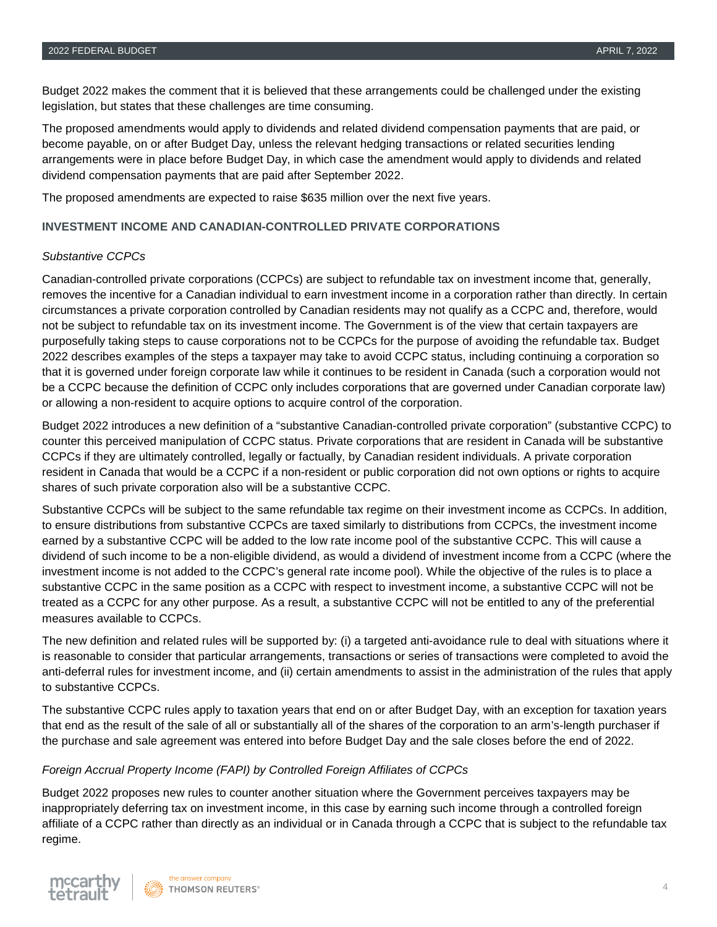Budget 2022 makes the comment that it is believed that these arrangements could be challenged under the existing legislation, but states that these challenges are time consuming.

The proposed amendments would apply to dividends and related dividend compensation payments that are paid, or become payable, on or after Budget Day, unless the relevant hedging transactions or related securities lending arrangements were in place before Budget Day, in which case the amendment would apply to dividends and related dividend compensation payments that are paid after September 2022.

The proposed amendments are expected to raise \$635 million over the next five years.

#### **INVESTMENT INCOME AND CANADIAN-CONTROLLED PRIVATE CORPORATIONS**

#### *Substantive CCPCs*

Canadian-controlled private corporations (CCPCs) are subject to refundable tax on investment income that, generally, removes the incentive for a Canadian individual to earn investment income in a corporation rather than directly. In certain circumstances a private corporation controlled by Canadian residents may not qualify as a CCPC and, therefore, would not be subject to refundable tax on its investment income. The Government is of the view that certain taxpayers are purposefully taking steps to cause corporations not to be CCPCs for the purpose of avoiding the refundable tax. Budget 2022 describes examples of the steps a taxpayer may take to avoid CCPC status, including continuing a corporation so that it is governed under foreign corporate law while it continues to be resident in Canada (such a corporation would not be a CCPC because the definition of CCPC only includes corporations that are governed under Canadian corporate law) or allowing a non-resident to acquire options to acquire control of the corporation.

Budget 2022 introduces a new definition of a "substantive Canadian-controlled private corporation" (substantive CCPC) to counter this perceived manipulation of CCPC status. Private corporations that are resident in Canada will be substantive CCPCs if they are ultimately controlled, legally or factually, by Canadian resident individuals. A private corporation resident in Canada that would be a CCPC if a non-resident or public corporation did not own options or rights to acquire shares of such private corporation also will be a substantive CCPC.

Substantive CCPCs will be subject to the same refundable tax regime on their investment income as CCPCs. In addition, to ensure distributions from substantive CCPCs are taxed similarly to distributions from CCPCs, the investment income earned by a substantive CCPC will be added to the low rate income pool of the substantive CCPC. This will cause a dividend of such income to be a non-eligible dividend, as would a dividend of investment income from a CCPC (where the investment income is not added to the CCPC's general rate income pool). While the objective of the rules is to place a substantive CCPC in the same position as a CCPC with respect to investment income, a substantive CCPC will not be treated as a CCPC for any other purpose. As a result, a substantive CCPC will not be entitled to any of the preferential measures available to CCPCs.

The new definition and related rules will be supported by: (i) a targeted anti-avoidance rule to deal with situations where it is reasonable to consider that particular arrangements, transactions or series of transactions were completed to avoid the anti-deferral rules for investment income, and (ii) certain amendments to assist in the administration of the rules that apply to substantive CCPCs.

The substantive CCPC rules apply to taxation years that end on or after Budget Day, with an exception for taxation years that end as the result of the sale of all or substantially all of the shares of the corporation to an arm's-length purchaser if the purchase and sale agreement was entered into before Budget Day and the sale closes before the end of 2022.

#### *Foreign Accrual Property Income (FAPI) by Controlled Foreign Affiliates of CCPCs*

Budget 2022 proposes new rules to counter another situation where the Government perceives taxpayers may be inappropriately deferring tax on investment income, in this case by earning such income through a controlled foreign affiliate of a CCPC rather than directly as an individual or in Canada through a CCPC that is subject to the refundable tax regime.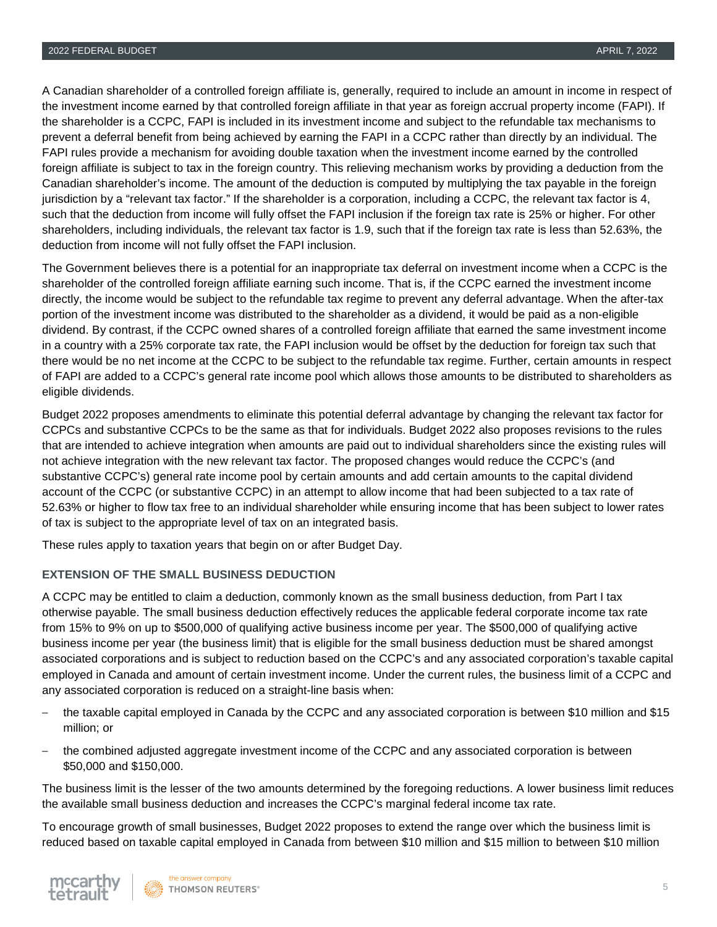A Canadian shareholder of a controlled foreign affiliate is, generally, required to include an amount in income in respect of the investment income earned by that controlled foreign affiliate in that year as foreign accrual property income (FAPI). If the shareholder is a CCPC, FAPI is included in its investment income and subject to the refundable tax mechanisms to prevent a deferral benefit from being achieved by earning the FAPI in a CCPC rather than directly by an individual. The FAPI rules provide a mechanism for avoiding double taxation when the investment income earned by the controlled foreign affiliate is subject to tax in the foreign country. This relieving mechanism works by providing a deduction from the Canadian shareholder's income. The amount of the deduction is computed by multiplying the tax payable in the foreign jurisdiction by a "relevant tax factor." If the shareholder is a corporation, including a CCPC, the relevant tax factor is 4, such that the deduction from income will fully offset the FAPI inclusion if the foreign tax rate is 25% or higher. For other shareholders, including individuals, the relevant tax factor is 1.9, such that if the foreign tax rate is less than 52.63%, the deduction from income will not fully offset the FAPI inclusion.

The Government believes there is a potential for an inappropriate tax deferral on investment income when a CCPC is the shareholder of the controlled foreign affiliate earning such income. That is, if the CCPC earned the investment income directly, the income would be subject to the refundable tax regime to prevent any deferral advantage. When the after-tax portion of the investment income was distributed to the shareholder as a dividend, it would be paid as a non-eligible dividend. By contrast, if the CCPC owned shares of a controlled foreign affiliate that earned the same investment income in a country with a 25% corporate tax rate, the FAPI inclusion would be offset by the deduction for foreign tax such that there would be no net income at the CCPC to be subject to the refundable tax regime. Further, certain amounts in respect of FAPI are added to a CCPC's general rate income pool which allows those amounts to be distributed to shareholders as eligible dividends.

Budget 2022 proposes amendments to eliminate this potential deferral advantage by changing the relevant tax factor for CCPCs and substantive CCPCs to be the same as that for individuals. Budget 2022 also proposes revisions to the rules that are intended to achieve integration when amounts are paid out to individual shareholders since the existing rules will not achieve integration with the new relevant tax factor. The proposed changes would reduce the CCPC's (and substantive CCPC's) general rate income pool by certain amounts and add certain amounts to the capital dividend account of the CCPC (or substantive CCPC) in an attempt to allow income that had been subjected to a tax rate of 52.63% or higher to flow tax free to an individual shareholder while ensuring income that has been subject to lower rates of tax is subject to the appropriate level of tax on an integrated basis.

These rules apply to taxation years that begin on or after Budget Day.

#### **EXTENSION OF THE SMALL BUSINESS DEDUCTION**

A CCPC may be entitled to claim a deduction, commonly known as the small business deduction, from Part I tax otherwise payable. The small business deduction effectively reduces the applicable federal corporate income tax rate from 15% to 9% on up to \$500,000 of qualifying active business income per year. The \$500,000 of qualifying active business income per year (the business limit) that is eligible for the small business deduction must be shared amongst associated corporations and is subject to reduction based on the CCPC's and any associated corporation's taxable capital employed in Canada and amount of certain investment income. Under the current rules, the business limit of a CCPC and any associated corporation is reduced on a straight-line basis when:

- ‒ the taxable capital employed in Canada by the CCPC and any associated corporation is between \$10 million and \$15 million; or
- ‒ the combined adjusted aggregate investment income of the CCPC and any associated corporation is between \$50,000 and \$150,000.

The business limit is the lesser of the two amounts determined by the foregoing reductions. A lower business limit reduces the available small business deduction and increases the CCPC's marginal federal income tax rate.

To encourage growth of small businesses, Budget 2022 proposes to extend the range over which the business limit is reduced based on taxable capital employed in Canada from between \$10 million and \$15 million to between \$10 million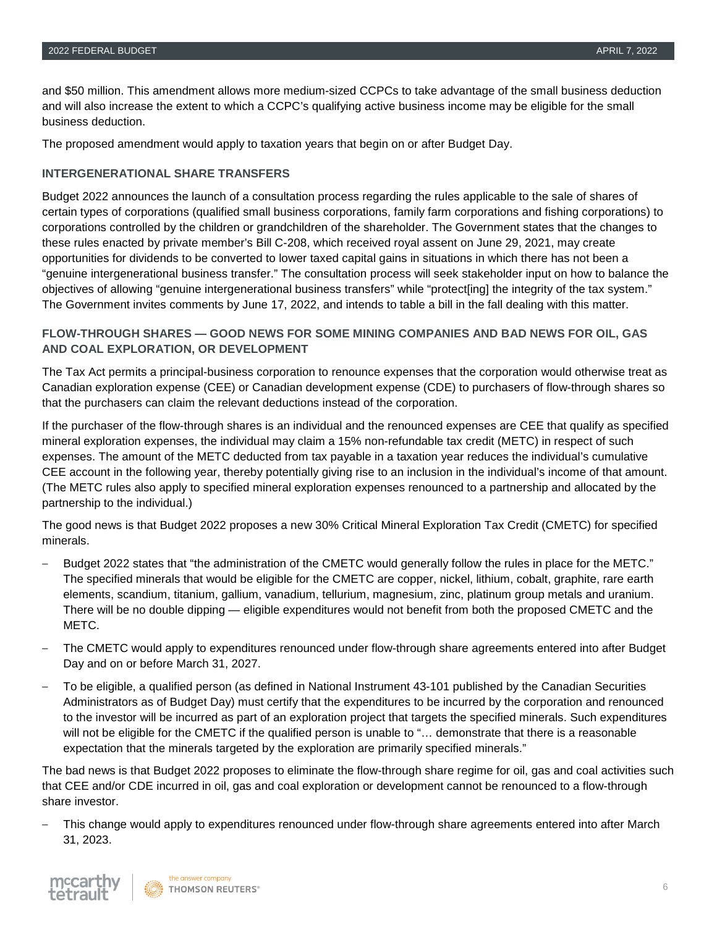and \$50 million. This amendment allows more medium-sized CCPCs to take advantage of the small business deduction and will also increase the extent to which a CCPC's qualifying active business income may be eligible for the small business deduction.

The proposed amendment would apply to taxation years that begin on or after Budget Day.

#### **INTERGENERATIONAL SHARE TRANSFERS**

Budget 2022 announces the launch of a consultation process regarding the rules applicable to the sale of shares of certain types of corporations (qualified small business corporations, family farm corporations and fishing corporations) to corporations controlled by the children or grandchildren of the shareholder. The Government states that the changes to these rules enacted by private member's Bill C-208, which received royal assent on June 29, 2021, may create opportunities for dividends to be converted to lower taxed capital gains in situations in which there has not been a "genuine intergenerational business transfer." The consultation process will seek stakeholder input on how to balance the objectives of allowing "genuine intergenerational business transfers" while "protect[ing] the integrity of the tax system." The Government invites comments by June 17, 2022, and intends to table a bill in the fall dealing with this matter.

#### **FLOW-THROUGH SHARES — GOOD NEWS FOR SOME MINING COMPANIES AND BAD NEWS FOR OIL, GAS AND COAL EXPLORATION, OR DEVELOPMENT**

The Tax Act permits a principal-business corporation to renounce expenses that the corporation would otherwise treat as Canadian exploration expense (CEE) or Canadian development expense (CDE) to purchasers of flow-through shares so that the purchasers can claim the relevant deductions instead of the corporation.

If the purchaser of the flow-through shares is an individual and the renounced expenses are CEE that qualify as specified mineral exploration expenses, the individual may claim a 15% non-refundable tax credit (METC) in respect of such expenses. The amount of the METC deducted from tax payable in a taxation year reduces the individual's cumulative CEE account in the following year, thereby potentially giving rise to an inclusion in the individual's income of that amount. (The METC rules also apply to specified mineral exploration expenses renounced to a partnership and allocated by the partnership to the individual.)

The good news is that Budget 2022 proposes a new 30% Critical Mineral Exploration Tax Credit (CMETC) for specified minerals.

- ‒ Budget 2022 states that "the administration of the CMETC would generally follow the rules in place for the METC." The specified minerals that would be eligible for the CMETC are copper, nickel, lithium, cobalt, graphite, rare earth elements, scandium, titanium, gallium, vanadium, tellurium, magnesium, zinc, platinum group metals and uranium. There will be no double dipping — eligible expenditures would not benefit from both the proposed CMETC and the METC.
- ‒ The CMETC would apply to expenditures renounced under flow-through share agreements entered into after Budget Day and on or before March 31, 2027.
- ‒ To be eligible, a qualified person (as defined in National Instrument 43-101 published by the Canadian Securities Administrators as of Budget Day) must certify that the expenditures to be incurred by the corporation and renounced to the investor will be incurred as part of an exploration project that targets the specified minerals. Such expenditures will not be eligible for the CMETC if the qualified person is unable to "... demonstrate that there is a reasonable expectation that the minerals targeted by the exploration are primarily specified minerals."

The bad news is that Budget 2022 proposes to eliminate the flow-through share regime for oil, gas and coal activities such that CEE and/or CDE incurred in oil, gas and coal exploration or development cannot be renounced to a flow-through share investor.

‒ This change would apply to expenditures renounced under flow-through share agreements entered into after March 31, 2023.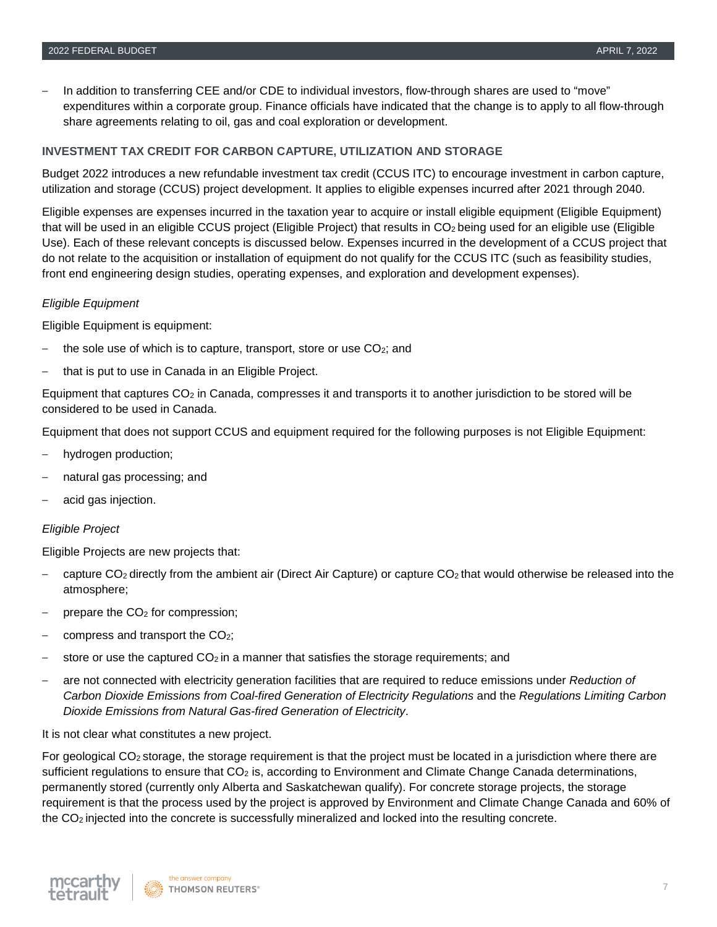‒ In addition to transferring CEE and/or CDE to individual investors, flow-through shares are used to "move" expenditures within a corporate group. Finance officials have indicated that the change is to apply to all flow-through share agreements relating to oil, gas and coal exploration or development.

#### **INVESTMENT TAX CREDIT FOR CARBON CAPTURE, UTILIZATION AND STORAGE**

Budget 2022 introduces a new refundable investment tax credit (CCUS ITC) to encourage investment in carbon capture, utilization and storage (CCUS) project development. It applies to eligible expenses incurred after 2021 through 2040.

Eligible expenses are expenses incurred in the taxation year to acquire or install eligible equipment (Eligible Equipment) that will be used in an eligible CCUS project (Eligible Project) that results in CO<sub>2</sub> being used for an eligible use (Eligible Use). Each of these relevant concepts is discussed below. Expenses incurred in the development of a CCUS project that do not relate to the acquisition or installation of equipment do not qualify for the CCUS ITC (such as feasibility studies, front end engineering design studies, operating expenses, and exploration and development expenses).

#### *Eligible Equipment*

Eligible Equipment is equipment:

- the sole use of which is to capture, transport, store or use  $CO<sub>2</sub>$ ; and
- ‒ that is put to use in Canada in an Eligible Project.

Equipment that captures CO2 in Canada, compresses it and transports it to another jurisdiction to be stored will be considered to be used in Canada.

Equipment that does not support CCUS and equipment required for the following purposes is not Eligible Equipment:

- ‒ hydrogen production;
- ‒ natural gas processing; and
- ‒ acid gas injection.

#### *Eligible Project*

Eligible Projects are new projects that:

- capture  $CO<sub>2</sub>$  directly from the ambient air (Direct Air Capture) or capture  $CO<sub>2</sub>$  that would otherwise be released into the atmosphere;
- prepare the CO<sub>2</sub> for compression;
- compress and transport the CO<sub>2</sub>;
- store or use the captured  $CO<sub>2</sub>$  in a manner that satisfies the storage requirements; and
- ‒ are not connected with electricity generation facilities that are required to reduce emissions under *Reduction of Carbon Dioxide Emissions from Coal-fired Generation of Electricity Regulations* and the *Regulations Limiting Carbon Dioxide Emissions from Natural Gas-fired Generation of Electricity*.

It is not clear what constitutes a new project.

For geological  $CO<sub>2</sub>$  storage, the storage requirement is that the project must be located in a jurisdiction where there are sufficient regulations to ensure that CO<sub>2</sub> is, according to Environment and Climate Change Canada determinations, permanently stored (currently only Alberta and Saskatchewan qualify). For concrete storage projects, the storage requirement is that the process used by the project is approved by Environment and Climate Change Canada and 60% of the CO2 injected into the concrete is successfully mineralized and locked into the resulting concrete.

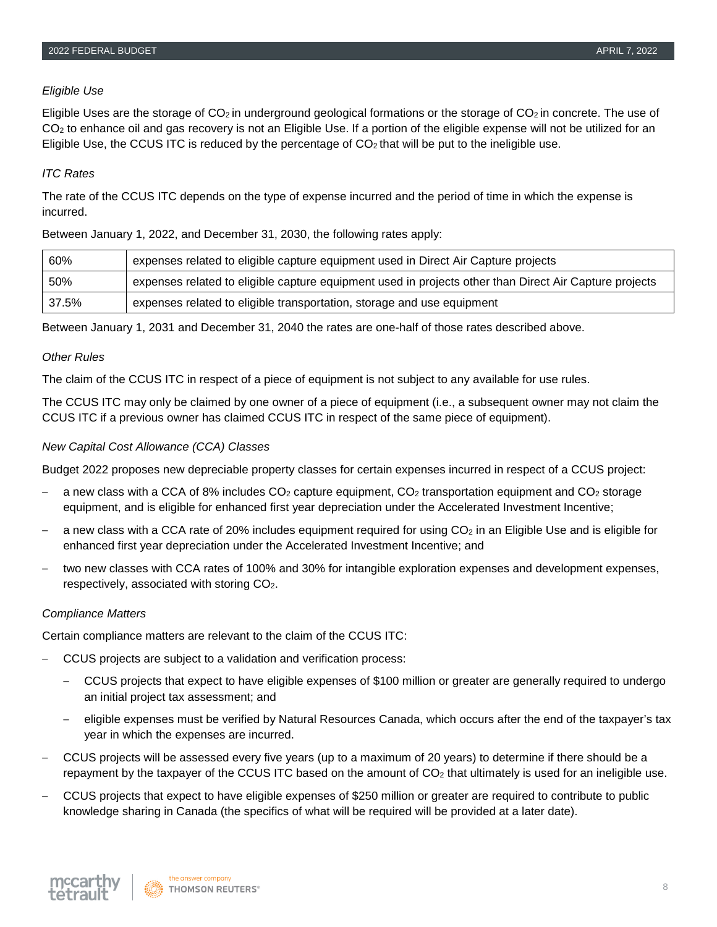#### *Eligible Use*

Eligible Uses are the storage of  $CO<sub>2</sub>$  in underground geological formations or the storage of  $CO<sub>2</sub>$  in concrete. The use of CO<sub>2</sub> to enhance oil and gas recovery is not an Eligible Use. If a portion of the eligible expense will not be utilized for an Eligible Use, the CCUS ITC is reduced by the percentage of  $CO<sub>2</sub>$  that will be put to the ineligible use.

#### *ITC Rates*

The rate of the CCUS ITC depends on the type of expense incurred and the period of time in which the expense is incurred.

#### Between January 1, 2022, and December 31, 2030, the following rates apply:

| 60%   | expenses related to eligible capture equipment used in Direct Air Capture projects                     |
|-------|--------------------------------------------------------------------------------------------------------|
| 50%   | expenses related to eligible capture equipment used in projects other than Direct Air Capture projects |
| 37.5% | expenses related to eligible transportation, storage and use equipment                                 |

Between January 1, 2031 and December 31, 2040 the rates are one-half of those rates described above.

#### *Other Rules*

The claim of the CCUS ITC in respect of a piece of equipment is not subject to any available for use rules.

The CCUS ITC may only be claimed by one owner of a piece of equipment (i.e., a subsequent owner may not claim the CCUS ITC if a previous owner has claimed CCUS ITC in respect of the same piece of equipment).

#### *New Capital Cost Allowance (CCA) Classes*

Budget 2022 proposes new depreciable property classes for certain expenses incurred in respect of a CCUS project:

- a new class with a CCA of 8% includes  $CO<sub>2</sub>$  capture equipment,  $CO<sub>2</sub>$  transportation equipment and  $CO<sub>2</sub>$  storage equipment, and is eligible for enhanced first year depreciation under the Accelerated Investment Incentive;
- a new class with a CCA rate of 20% includes equipment required for using  $CO<sub>2</sub>$  in an Eligible Use and is eligible for enhanced first year depreciation under the Accelerated Investment Incentive; and
- ‒ two new classes with CCA rates of 100% and 30% for intangible exploration expenses and development expenses, respectively, associated with storing CO2.

#### *Compliance Matters*

Certain compliance matters are relevant to the claim of the CCUS ITC:

- ‒ CCUS projects are subject to a validation and verification process:
	- ‒ CCUS projects that expect to have eligible expenses of \$100 million or greater are generally required to undergo an initial project tax assessment; and
	- ‒ eligible expenses must be verified by Natural Resources Canada, which occurs after the end of the taxpayer's tax year in which the expenses are incurred.
- ‒ CCUS projects will be assessed every five years (up to a maximum of 20 years) to determine if there should be a repayment by the taxpayer of the CCUS ITC based on the amount of  $CO<sub>2</sub>$  that ultimately is used for an ineligible use.
- ‒ CCUS projects that expect to have eligible expenses of \$250 million or greater are required to contribute to public knowledge sharing in Canada (the specifics of what will be required will be provided at a later date).

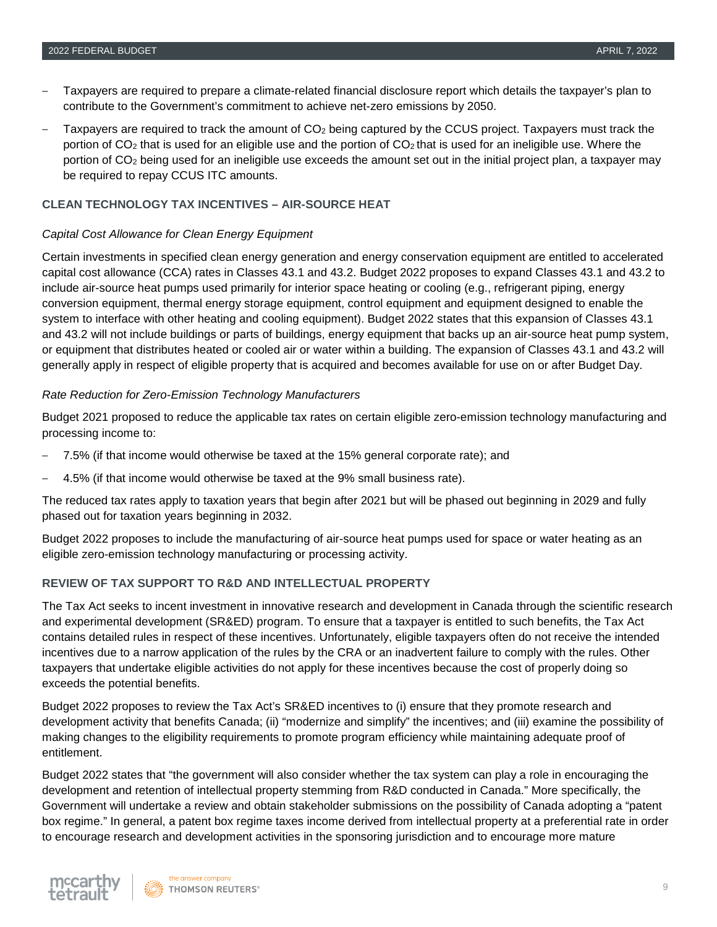- ‒ Taxpayers are required to prepare a climate-related financial disclosure report which details the taxpayer's plan to contribute to the Government's commitment to achieve net-zero emissions by 2050.
- Taxpayers are required to track the amount of  $CO<sub>2</sub>$  being captured by the CCUS project. Taxpayers must track the portion of  $CO<sub>2</sub>$  that is used for an eligible use and the portion of  $CO<sub>2</sub>$  that is used for an ineligible use. Where the portion of CO2 being used for an ineligible use exceeds the amount set out in the initial project plan, a taxpayer may be required to repay CCUS ITC amounts.

#### **CLEAN TECHNOLOGY TAX INCENTIVES – AIR-SOURCE HEAT**

#### *Capital Cost Allowance for Clean Energy Equipment*

Certain investments in specified clean energy generation and energy conservation equipment are entitled to accelerated capital cost allowance (CCA) rates in Classes 43.1 and 43.2. Budget 2022 proposes to expand Classes 43.1 and 43.2 to include air-source heat pumps used primarily for interior space heating or cooling (e.g., refrigerant piping, energy conversion equipment, thermal energy storage equipment, control equipment and equipment designed to enable the system to interface with other heating and cooling equipment). Budget 2022 states that this expansion of Classes 43.1 and 43.2 will not include buildings or parts of buildings, energy equipment that backs up an air-source heat pump system, or equipment that distributes heated or cooled air or water within a building. The expansion of Classes 43.1 and 43.2 will generally apply in respect of eligible property that is acquired and becomes available for use on or after Budget Day.

#### *Rate Reduction for Zero-Emission Technology Manufacturers*

Budget 2021 proposed to reduce the applicable tax rates on certain eligible zero-emission technology manufacturing and processing income to:

- ‒ 7.5% (if that income would otherwise be taxed at the 15% general corporate rate); and
- ‒ 4.5% (if that income would otherwise be taxed at the 9% small business rate).

The reduced tax rates apply to taxation years that begin after 2021 but will be phased out beginning in 2029 and fully phased out for taxation years beginning in 2032.

Budget 2022 proposes to include the manufacturing of air-source heat pumps used for space or water heating as an eligible zero-emission technology manufacturing or processing activity.

#### **REVIEW OF TAX SUPPORT TO R&D AND INTELLECTUAL PROPERTY**

The Tax Act seeks to incent investment in innovative research and development in Canada through the scientific research and experimental development (SR&ED) program. To ensure that a taxpayer is entitled to such benefits, the Tax Act contains detailed rules in respect of these incentives. Unfortunately, eligible taxpayers often do not receive the intended incentives due to a narrow application of the rules by the CRA or an inadvertent failure to comply with the rules. Other taxpayers that undertake eligible activities do not apply for these incentives because the cost of properly doing so exceeds the potential benefits.

Budget 2022 proposes to review the Tax Act's SR&ED incentives to (i) ensure that they promote research and development activity that benefits Canada; (ii) "modernize and simplify" the incentives; and (iii) examine the possibility of making changes to the eligibility requirements to promote program efficiency while maintaining adequate proof of entitlement.

Budget 2022 states that "the government will also consider whether the tax system can play a role in encouraging the development and retention of intellectual property stemming from R&D conducted in Canada." More specifically, the Government will undertake a review and obtain stakeholder submissions on the possibility of Canada adopting a "patent box regime." In general, a patent box regime taxes income derived from intellectual property at a preferential rate in order to encourage research and development activities in the sponsoring jurisdiction and to encourage more mature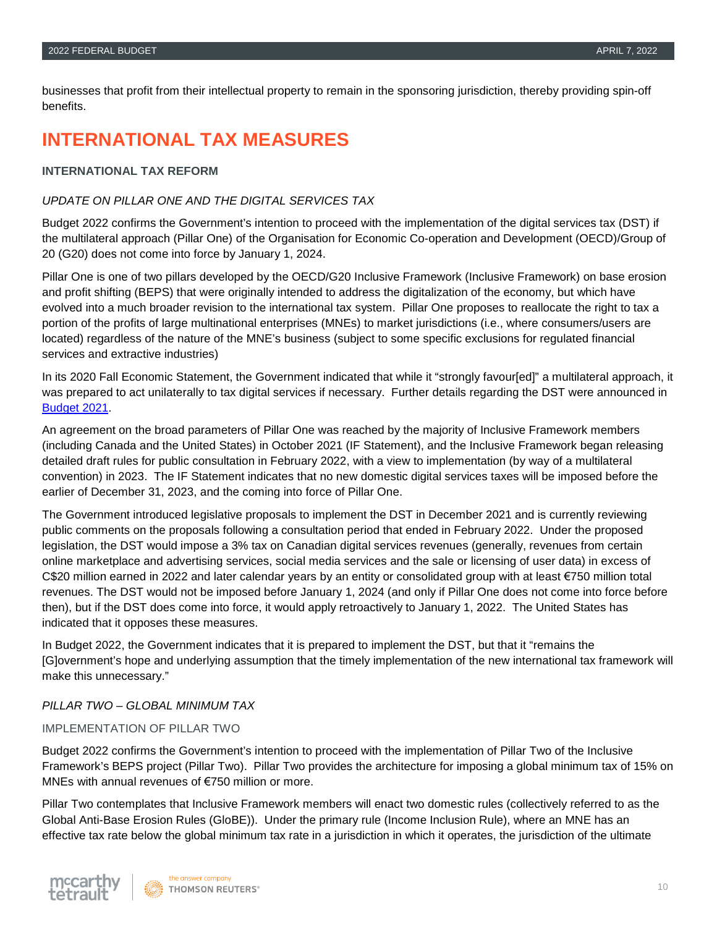businesses that profit from their intellectual property to remain in the sponsoring jurisdiction, thereby providing spin-off benefits.

## **INTERNATIONAL TAX MEASURES**

#### **INTERNATIONAL TAX REFORM**

#### *UPDATE ON PILLAR ONE AND THE DIGITAL SERVICES TAX*

Budget 2022 confirms the Government's intention to proceed with the implementation of the digital services tax (DST) if the multilateral approach (Pillar One) of the Organisation for Economic Co-operation and Development (OECD)/Group of 20 (G20) does not come into force by January 1, 2024.

Pillar One is one of two pillars developed by the OECD/G20 Inclusive Framework (Inclusive Framework) on base erosion and profit shifting (BEPS) that were originally intended to address the digitalization of the economy, but which have evolved into a much broader revision to the international tax system. Pillar One proposes to reallocate the right to tax a portion of the profits of large multinational enterprises (MNEs) to market jurisdictions (i.e., where consumers/users are located) regardless of the nature of the MNE's business (subject to some specific exclusions for regulated financial services and extractive industries)

In its 2020 Fall Economic Statement, the Government indicated that while it "strongly favour[ed]" a multilateral approach, it was prepared to act unilaterally to tax digital services if necessary. Further details regarding the DST were announced in [Budget 2021.](https://www.mccarthy.ca/sites/default/files/2021-04/McCarthy%20Tetrault%202021%20Federal%20Budget%20Commentary%20%28FINAL%29.pdf)

An agreement on the broad parameters of Pillar One was reached by the majority of Inclusive Framework members (including Canada and the United States) in October 2021 (IF Statement), and the Inclusive Framework began releasing detailed draft rules for public consultation in February 2022, with a view to implementation (by way of a multilateral convention) in 2023. The IF Statement indicates that no new domestic digital services taxes will be imposed before the earlier of December 31, 2023, and the coming into force of Pillar One.

The Government introduced legislative proposals to implement the DST in December 2021 and is currently reviewing public comments on the proposals following a consultation period that ended in February 2022. Under the proposed legislation, the DST would impose a 3% tax on Canadian digital services revenues (generally, revenues from certain online marketplace and advertising services, social media services and the sale or licensing of user data) in excess of C\$20 million earned in 2022 and later calendar years by an entity or consolidated group with at least €750 million total revenues. The DST would not be imposed before January 1, 2024 (and only if Pillar One does not come into force before then), but if the DST does come into force, it would apply retroactively to January 1, 2022. The United States has indicated that it opposes these measures.

In Budget 2022, the Government indicates that it is prepared to implement the DST, but that it "remains the [G]overnment's hope and underlying assumption that the timely implementation of the new international tax framework will make this unnecessary."

#### *PILLAR TWO – GLOBAL MINIMUM TAX*

#### IMPLEMENTATION OF PILLAR TWO

Budget 2022 confirms the Government's intention to proceed with the implementation of Pillar Two of the Inclusive Framework's BEPS project (Pillar Two). Pillar Two provides the architecture for imposing a global minimum tax of 15% on MNEs with annual revenues of €750 million or more.

Pillar Two contemplates that Inclusive Framework members will enact two domestic rules (collectively referred to as the Global Anti-Base Erosion Rules (GloBE)). Under the primary rule (Income Inclusion Rule), where an MNE has an effective tax rate below the global minimum tax rate in a jurisdiction in which it operates, the jurisdiction of the ultimate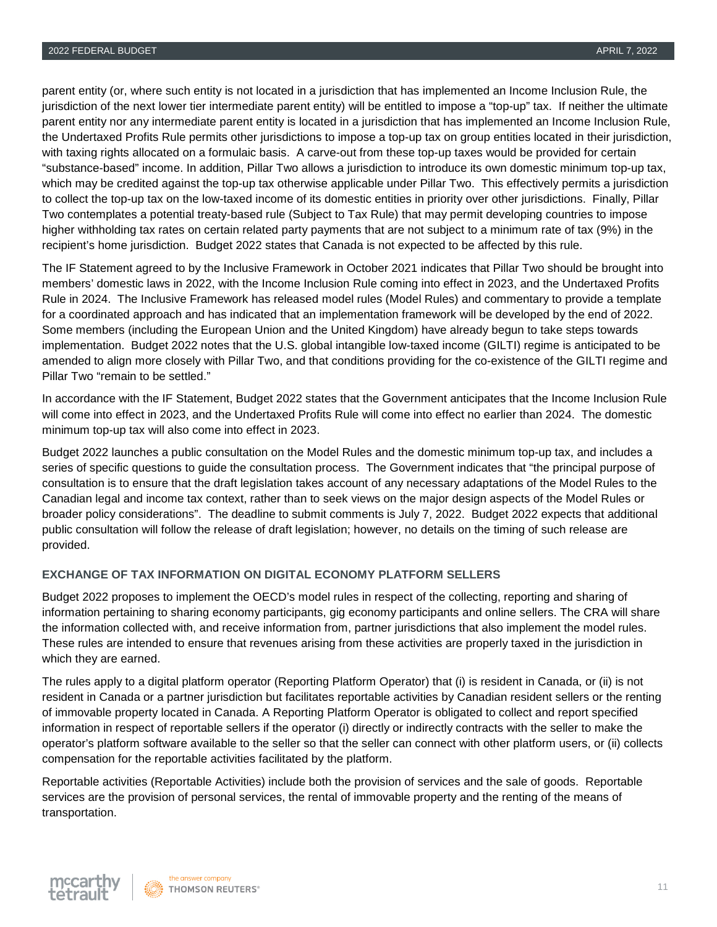parent entity (or, where such entity is not located in a jurisdiction that has implemented an Income Inclusion Rule, the jurisdiction of the next lower tier intermediate parent entity) will be entitled to impose a "top-up" tax. If neither the ultimate parent entity nor any intermediate parent entity is located in a jurisdiction that has implemented an Income Inclusion Rule, the Undertaxed Profits Rule permits other jurisdictions to impose a top-up tax on group entities located in their jurisdiction, with taxing rights allocated on a formulaic basis. A carve-out from these top-up taxes would be provided for certain "substance-based" income. In addition, Pillar Two allows a jurisdiction to introduce its own domestic minimum top-up tax, which may be credited against the top-up tax otherwise applicable under Pillar Two. This effectively permits a jurisdiction to collect the top-up tax on the low-taxed income of its domestic entities in priority over other jurisdictions. Finally, Pillar Two contemplates a potential treaty-based rule (Subject to Tax Rule) that may permit developing countries to impose higher withholding tax rates on certain related party payments that are not subject to a minimum rate of tax (9%) in the recipient's home jurisdiction. Budget 2022 states that Canada is not expected to be affected by this rule.

The IF Statement agreed to by the Inclusive Framework in October 2021 indicates that Pillar Two should be brought into members' domestic laws in 2022, with the Income Inclusion Rule coming into effect in 2023, and the Undertaxed Profits Rule in 2024. The Inclusive Framework has released model rules (Model Rules) and commentary to provide a template for a coordinated approach and has indicated that an implementation framework will be developed by the end of 2022. Some members (including the European Union and the United Kingdom) have already begun to take steps towards implementation. Budget 2022 notes that the U.S. global intangible low-taxed income (GILTI) regime is anticipated to be amended to align more closely with Pillar Two, and that conditions providing for the co-existence of the GILTI regime and Pillar Two "remain to be settled."

In accordance with the IF Statement, Budget 2022 states that the Government anticipates that the Income Inclusion Rule will come into effect in 2023, and the Undertaxed Profits Rule will come into effect no earlier than 2024. The domestic minimum top-up tax will also come into effect in 2023.

Budget 2022 launches a public consultation on the Model Rules and the domestic minimum top-up tax, and includes a series of specific questions to guide the consultation process. The Government indicates that "the principal purpose of consultation is to ensure that the draft legislation takes account of any necessary adaptations of the Model Rules to the Canadian legal and income tax context, rather than to seek views on the major design aspects of the Model Rules or broader policy considerations". The deadline to submit comments is July 7, 2022. Budget 2022 expects that additional public consultation will follow the release of draft legislation; however, no details on the timing of such release are provided.

#### **EXCHANGE OF TAX INFORMATION ON DIGITAL ECONOMY PLATFORM SELLERS**

Budget 2022 proposes to implement the OECD's model rules in respect of the collecting, reporting and sharing of information pertaining to sharing economy participants, gig economy participants and online sellers. The CRA will share the information collected with, and receive information from, partner jurisdictions that also implement the model rules. These rules are intended to ensure that revenues arising from these activities are properly taxed in the jurisdiction in which they are earned.

The rules apply to a digital platform operator (Reporting Platform Operator) that (i) is resident in Canada, or (ii) is not resident in Canada or a partner jurisdiction but facilitates reportable activities by Canadian resident sellers or the renting of immovable property located in Canada. A Reporting Platform Operator is obligated to collect and report specified information in respect of reportable sellers if the operator (i) directly or indirectly contracts with the seller to make the operator's platform software available to the seller so that the seller can connect with other platform users, or (ii) collects compensation for the reportable activities facilitated by the platform.

Reportable activities (Reportable Activities) include both the provision of services and the sale of goods. Reportable services are the provision of personal services, the rental of immovable property and the renting of the means of transportation.

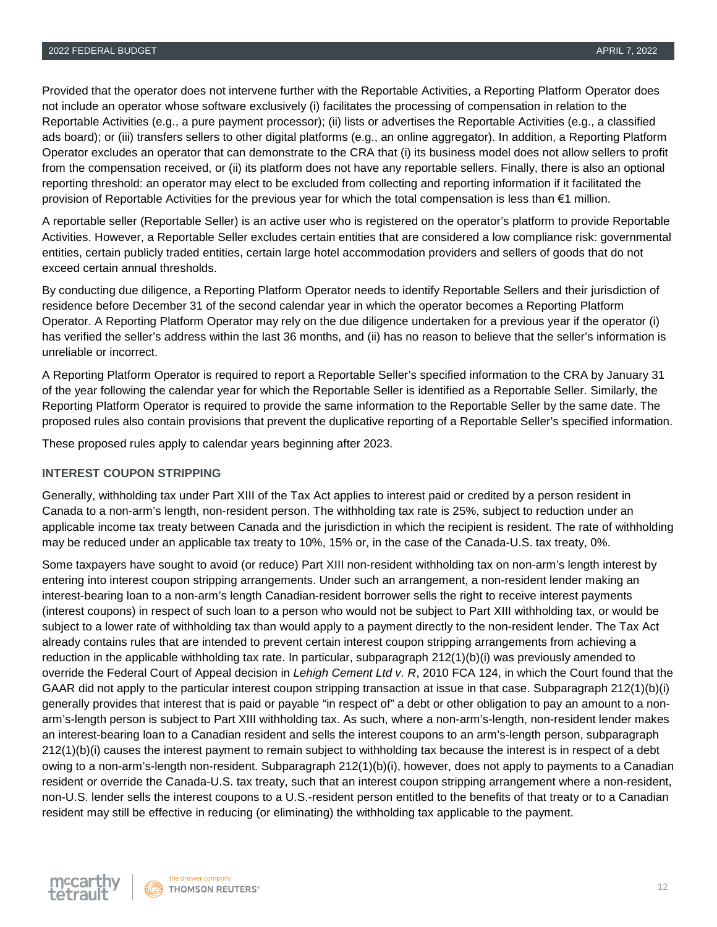Provided that the operator does not intervene further with the Reportable Activities, a Reporting Platform Operator does not include an operator whose software exclusively (i) facilitates the processing of compensation in relation to the Reportable Activities (e.g., a pure payment processor); (ii) lists or advertises the Reportable Activities (e.g., a classified ads board); or (iii) transfers sellers to other digital platforms (e.g., an online aggregator). In addition, a Reporting Platform Operator excludes an operator that can demonstrate to the CRA that (i) its business model does not allow sellers to profit from the compensation received, or (ii) its platform does not have any reportable sellers. Finally, there is also an optional reporting threshold: an operator may elect to be excluded from collecting and reporting information if it facilitated the provision of Reportable Activities for the previous year for which the total compensation is less than €1 million.

A reportable seller (Reportable Seller) is an active user who is registered on the operator's platform to provide Reportable Activities. However, a Reportable Seller excludes certain entities that are considered a low compliance risk: governmental entities, certain publicly traded entities, certain large hotel accommodation providers and sellers of goods that do not exceed certain annual thresholds.

By conducting due diligence, a Reporting Platform Operator needs to identify Reportable Sellers and their jurisdiction of residence before December 31 of the second calendar year in which the operator becomes a Reporting Platform Operator. A Reporting Platform Operator may rely on the due diligence undertaken for a previous year if the operator (i) has verified the seller's address within the last 36 months, and (ii) has no reason to believe that the seller's information is unreliable or incorrect.

A Reporting Platform Operator is required to report a Reportable Seller's specified information to the CRA by January 31 of the year following the calendar year for which the Reportable Seller is identified as a Reportable Seller. Similarly, the Reporting Platform Operator is required to provide the same information to the Reportable Seller by the same date. The proposed rules also contain provisions that prevent the duplicative reporting of a Reportable Seller's specified information.

These proposed rules apply to calendar years beginning after 2023.

#### **INTEREST COUPON STRIPPING**

Generally, withholding tax under Part XIII of the Tax Act applies to interest paid or credited by a person resident in Canada to a non-arm's length, non-resident person. The withholding tax rate is 25%, subject to reduction under an applicable income tax treaty between Canada and the jurisdiction in which the recipient is resident. The rate of withholding may be reduced under an applicable tax treaty to 10%, 15% or, in the case of the Canada-U.S. tax treaty, 0%.

Some taxpayers have sought to avoid (or reduce) Part XIII non-resident withholding tax on non-arm's length interest by entering into interest coupon stripping arrangements. Under such an arrangement, a non-resident lender making an interest-bearing loan to a non-arm's length Canadian-resident borrower sells the right to receive interest payments (interest coupons) in respect of such loan to a person who would not be subject to Part XIII withholding tax, or would be subject to a lower rate of withholding tax than would apply to a payment directly to the non-resident lender. The Tax Act already contains rules that are intended to prevent certain interest coupon stripping arrangements from achieving a reduction in the applicable withholding tax rate. In particular, subparagraph 212(1)(b)(i) was previously amended to override the Federal Court of Appeal decision in *Lehigh Cement Ltd v. R*, 2010 FCA 124, in which the Court found that the GAAR did not apply to the particular interest coupon stripping transaction at issue in that case. Subparagraph 212(1)(b)(i) generally provides that interest that is paid or payable "in respect of" a debt or other obligation to pay an amount to a nonarm's-length person is subject to Part XIII withholding tax. As such, where a non-arm's-length, non-resident lender makes an interest-bearing loan to a Canadian resident and sells the interest coupons to an arm's-length person, subparagraph 212(1)(b)(i) causes the interest payment to remain subject to withholding tax because the interest is in respect of a debt owing to a non-arm's-length non-resident. Subparagraph 212(1)(b)(i), however, does not apply to payments to a Canadian resident or override the Canada-U.S. tax treaty, such that an interest coupon stripping arrangement where a non-resident, non-U.S. lender sells the interest coupons to a U.S.-resident person entitled to the benefits of that treaty or to a Canadian resident may still be effective in reducing (or eliminating) the withholding tax applicable to the payment.

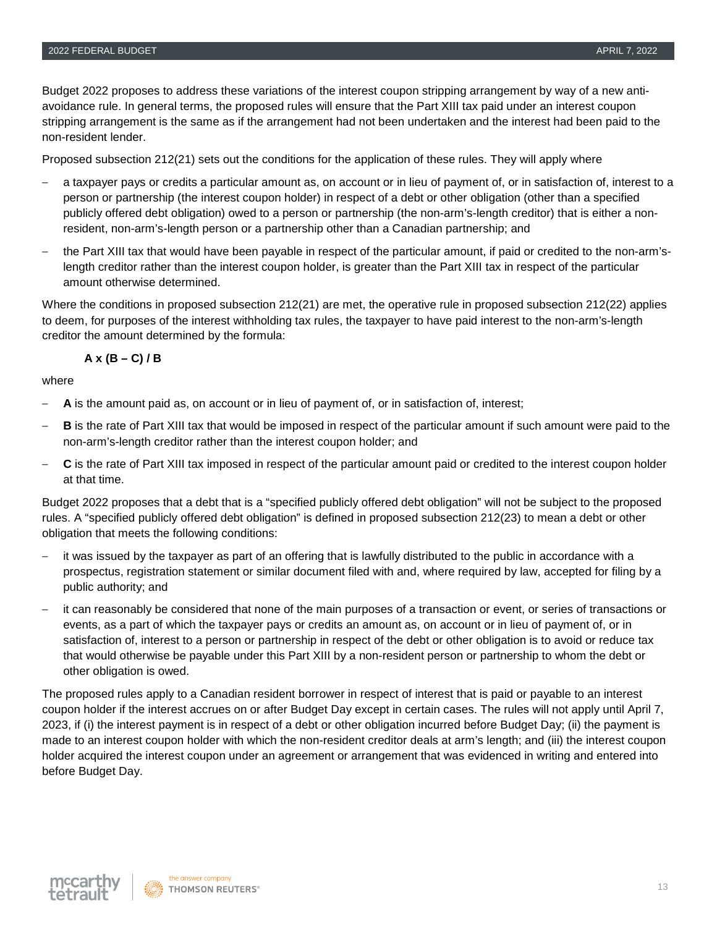Budget 2022 proposes to address these variations of the interest coupon stripping arrangement by way of a new antiavoidance rule. In general terms, the proposed rules will ensure that the Part XIII tax paid under an interest coupon stripping arrangement is the same as if the arrangement had not been undertaken and the interest had been paid to the non-resident lender.

Proposed subsection 212(21) sets out the conditions for the application of these rules. They will apply where

- ‒ a taxpayer pays or credits a particular amount as, on account or in lieu of payment of, or in satisfaction of, interest to a person or partnership (the interest coupon holder) in respect of a debt or other obligation (other than a specified publicly offered debt obligation) owed to a person or partnership (the non-arm's-length creditor) that is either a nonresident, non-arm's-length person or a partnership other than a Canadian partnership; and
- ‒ the Part XIII tax that would have been payable in respect of the particular amount, if paid or credited to the non-arm'slength creditor rather than the interest coupon holder, is greater than the Part XIII tax in respect of the particular amount otherwise determined.

Where the conditions in proposed subsection 212(21) are met, the operative rule in proposed subsection 212(22) applies to deem, for purposes of the interest withholding tax rules, the taxpayer to have paid interest to the non-arm's-length creditor the amount determined by the formula:

#### **A x (B – C) / B**

where

- ‒ **A** is the amount paid as, on account or in lieu of payment of, or in satisfaction of, interest;
- ‒ **B** is the rate of Part XIII tax that would be imposed in respect of the particular amount if such amount were paid to the non-arm's-length creditor rather than the interest coupon holder; and
- ‒ **C** is the rate of Part XIII tax imposed in respect of the particular amount paid or credited to the interest coupon holder at that time.

Budget 2022 proposes that a debt that is a "specified publicly offered debt obligation" will not be subject to the proposed rules. A "specified publicly offered debt obligation" is defined in proposed subsection 212(23) to mean a debt or other obligation that meets the following conditions:

- ‒ it was issued by the taxpayer as part of an offering that is lawfully distributed to the public in accordance with a prospectus, registration statement or similar document filed with and, where required by law, accepted for filing by a public authority; and
- ‒ it can reasonably be considered that none of the main purposes of a transaction or event, or series of transactions or events, as a part of which the taxpayer pays or credits an amount as, on account or in lieu of payment of, or in satisfaction of, interest to a person or partnership in respect of the debt or other obligation is to avoid or reduce tax that would otherwise be payable under this Part XIII by a non-resident person or partnership to whom the debt or other obligation is owed.

The proposed rules apply to a Canadian resident borrower in respect of interest that is paid or payable to an interest coupon holder if the interest accrues on or after Budget Day except in certain cases. The rules will not apply until April 7, 2023, if (i) the interest payment is in respect of a debt or other obligation incurred before Budget Day; (ii) the payment is made to an interest coupon holder with which the non-resident creditor deals at arm's length; and (iii) the interest coupon holder acquired the interest coupon under an agreement or arrangement that was evidenced in writing and entered into before Budget Day.

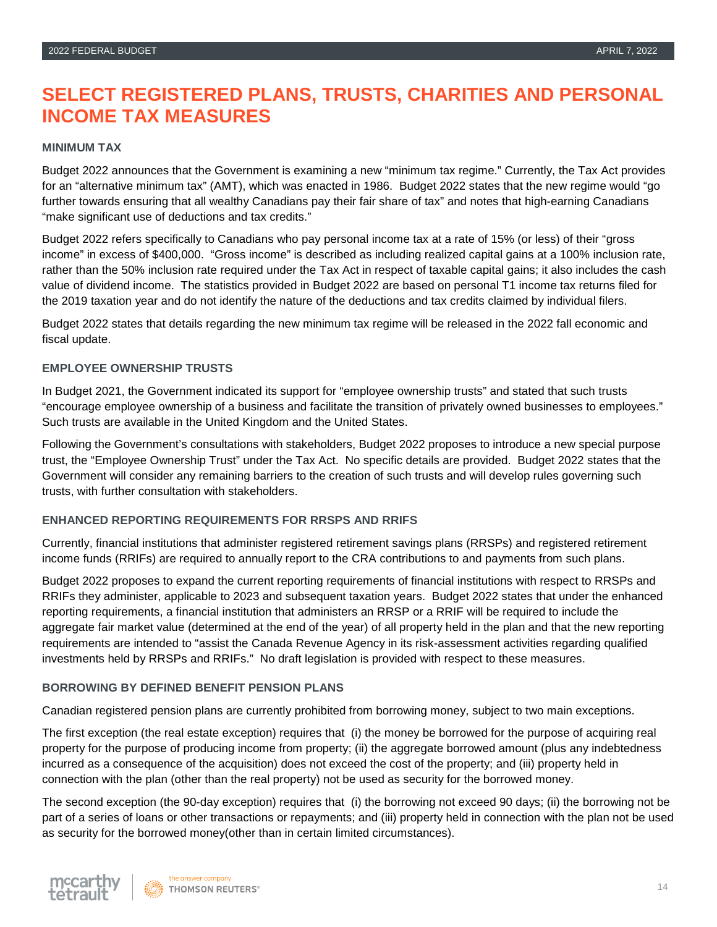## **SELECT REGISTERED PLANS, TRUSTS, CHARITIES AND PERSONAL INCOME TAX MEASURES**

#### **MINIMUM TAX**

Budget 2022 announces that the Government is examining a new "minimum tax regime." Currently, the Tax Act provides for an "alternative minimum tax" (AMT), which was enacted in 1986. Budget 2022 states that the new regime would "go further towards ensuring that all wealthy Canadians pay their fair share of tax" and notes that high-earning Canadians "make significant use of deductions and tax credits."

Budget 2022 refers specifically to Canadians who pay personal income tax at a rate of 15% (or less) of their "gross income" in excess of \$400,000. "Gross income" is described as including realized capital gains at a 100% inclusion rate, rather than the 50% inclusion rate required under the Tax Act in respect of taxable capital gains; it also includes the cash value of dividend income. The statistics provided in Budget 2022 are based on personal T1 income tax returns filed for the 2019 taxation year and do not identify the nature of the deductions and tax credits claimed by individual filers.

Budget 2022 states that details regarding the new minimum tax regime will be released in the 2022 fall economic and fiscal update.

#### **EMPLOYEE OWNERSHIP TRUSTS**

In Budget 2021, the Government indicated its support for "employee ownership trusts" and stated that such trusts "encourage employee ownership of a business and facilitate the transition of privately owned businesses to employees." Such trusts are available in the United Kingdom and the United States.

Following the Government's consultations with stakeholders, Budget 2022 proposes to introduce a new special purpose trust, the "Employee Ownership Trust" under the Tax Act. No specific details are provided. Budget 2022 states that the Government will consider any remaining barriers to the creation of such trusts and will develop rules governing such trusts, with further consultation with stakeholders.

#### **ENHANCED REPORTING REQUIREMENTS FOR RRSPS AND RRIFS**

Currently, financial institutions that administer registered retirement savings plans (RRSPs) and registered retirement income funds (RRIFs) are required to annually report to the CRA contributions to and payments from such plans.

Budget 2022 proposes to expand the current reporting requirements of financial institutions with respect to RRSPs and RRIFs they administer, applicable to 2023 and subsequent taxation years. Budget 2022 states that under the enhanced reporting requirements, a financial institution that administers an RRSP or a RRIF will be required to include the aggregate fair market value (determined at the end of the year) of all property held in the plan and that the new reporting requirements are intended to "assist the Canada Revenue Agency in its risk-assessment activities regarding qualified investments held by RRSPs and RRIFs." No draft legislation is provided with respect to these measures.

#### **BORROWING BY DEFINED BENEFIT PENSION PLANS**

Canadian registered pension plans are currently prohibited from borrowing money, subject to two main exceptions.

The first exception (the real estate exception) requires that (i) the money be borrowed for the purpose of acquiring real property for the purpose of producing income from property; (ii) the aggregate borrowed amount (plus any indebtedness incurred as a consequence of the acquisition) does not exceed the cost of the property; and (iii) property held in connection with the plan (other than the real property) not be used as security for the borrowed money.

The second exception (the 90-day exception) requires that (i) the borrowing not exceed 90 days; (ii) the borrowing not be part of a series of loans or other transactions or repayments; and (iii) property held in connection with the plan not be used as security for the borrowed money(other than in certain limited circumstances).

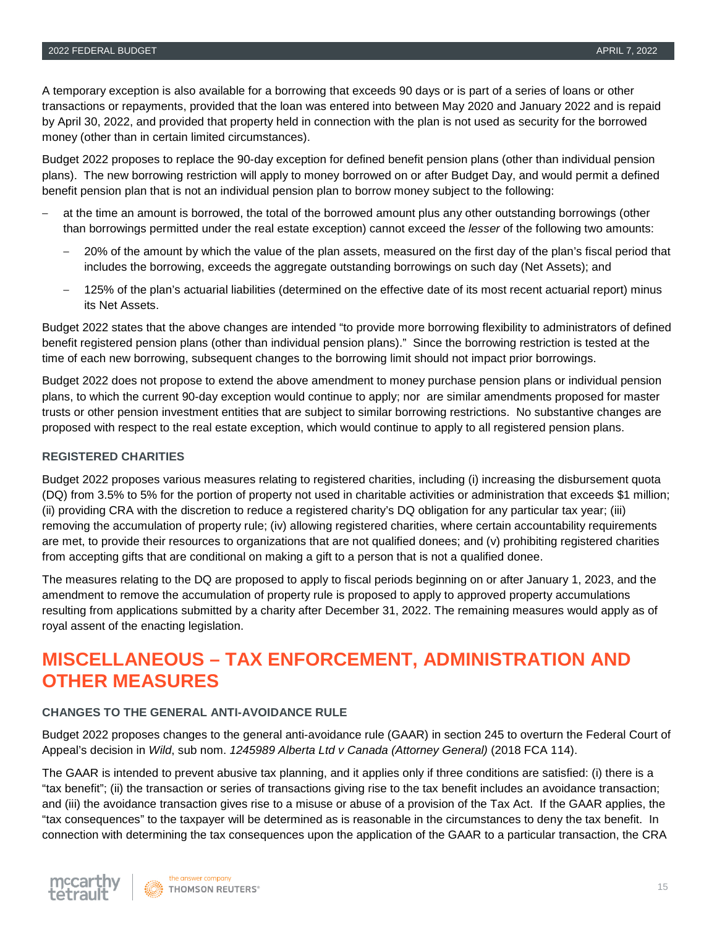A temporary exception is also available for a borrowing that exceeds 90 days or is part of a series of loans or other transactions or repayments, provided that the loan was entered into between May 2020 and January 2022 and is repaid by April 30, 2022, and provided that property held in connection with the plan is not used as security for the borrowed money (other than in certain limited circumstances).

Budget 2022 proposes to replace the 90-day exception for defined benefit pension plans (other than individual pension plans). The new borrowing restriction will apply to money borrowed on or after Budget Day, and would permit a defined benefit pension plan that is not an individual pension plan to borrow money subject to the following:

- at the time an amount is borrowed, the total of the borrowed amount plus any other outstanding borrowings (other than borrowings permitted under the real estate exception) cannot exceed the *lesser* of the following two amounts:
	- ‒ 20% of the amount by which the value of the plan assets, measured on the first day of the plan's fiscal period that includes the borrowing, exceeds the aggregate outstanding borrowings on such day (Net Assets); and
	- ‒ 125% of the plan's actuarial liabilities (determined on the effective date of its most recent actuarial report) minus its Net Assets.

Budget 2022 states that the above changes are intended "to provide more borrowing flexibility to administrators of defined benefit registered pension plans (other than individual pension plans)." Since the borrowing restriction is tested at the time of each new borrowing, subsequent changes to the borrowing limit should not impact prior borrowings.

Budget 2022 does not propose to extend the above amendment to money purchase pension plans or individual pension plans, to which the current 90-day exception would continue to apply; nor are similar amendments proposed for master trusts or other pension investment entities that are subject to similar borrowing restrictions. No substantive changes are proposed with respect to the real estate exception, which would continue to apply to all registered pension plans.

#### **REGISTERED CHARITIES**

Budget 2022 proposes various measures relating to registered charities, including (i) increasing the disbursement quota (DQ) from 3.5% to 5% for the portion of property not used in charitable activities or administration that exceeds \$1 million; (ii) providing CRA with the discretion to reduce a registered charity's DQ obligation for any particular tax year; (iii) removing the accumulation of property rule; (iv) allowing registered charities, where certain accountability requirements are met, to provide their resources to organizations that are not qualified donees; and (v) prohibiting registered charities from accepting gifts that are conditional on making a gift to a person that is not a qualified donee.

The measures relating to the DQ are proposed to apply to fiscal periods beginning on or after January 1, 2023, and the amendment to remove the accumulation of property rule is proposed to apply to approved property accumulations resulting from applications submitted by a charity after December 31, 2022. The remaining measures would apply as of royal assent of the enacting legislation.

## **MISCELLANEOUS – TAX ENFORCEMENT, ADMINISTRATION AND OTHER MEASURES**

#### **CHANGES TO THE GENERAL ANTI-AVOIDANCE RULE**

Budget 2022 proposes changes to the general anti-avoidance rule (GAAR) in section 245 to overturn the Federal Court of Appeal's decision in *Wild*, sub nom. *1245989 Alberta Ltd v Canada (Attorney General)* (2018 FCA 114).

The GAAR is intended to prevent abusive tax planning, and it applies only if three conditions are satisfied: (i) there is a "tax benefit"; (ii) the transaction or series of transactions giving rise to the tax benefit includes an avoidance transaction; and (iii) the avoidance transaction gives rise to a misuse or abuse of a provision of the Tax Act. If the GAAR applies, the "tax consequences" to the taxpayer will be determined as is reasonable in the circumstances to deny the tax benefit. In connection with determining the tax consequences upon the application of the GAAR to a particular transaction, the CRA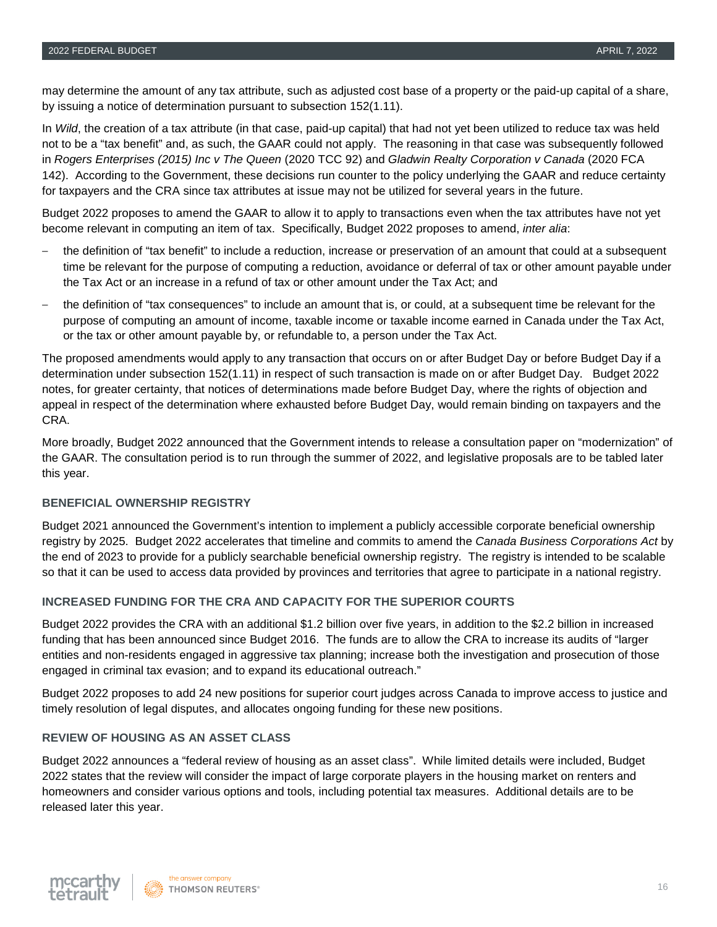may determine the amount of any tax attribute, such as adjusted cost base of a property or the paid-up capital of a share, by issuing a notice of determination pursuant to subsection 152(1.11).

In *Wild*, the creation of a tax attribute (in that case, paid-up capital) that had not yet been utilized to reduce tax was held not to be a "tax benefit" and, as such, the GAAR could not apply. The reasoning in that case was subsequently followed in *Rogers Enterprises (2015) Inc v The Queen* (2020 TCC 92) and *Gladwin Realty Corporation v Canada* (2020 FCA 142). According to the Government, these decisions run counter to the policy underlying the GAAR and reduce certainty for taxpayers and the CRA since tax attributes at issue may not be utilized for several years in the future.

Budget 2022 proposes to amend the GAAR to allow it to apply to transactions even when the tax attributes have not yet become relevant in computing an item of tax. Specifically, Budget 2022 proposes to amend, *inter alia*:

- ‒ the definition of "tax benefit" to include a reduction, increase or preservation of an amount that could at a subsequent time be relevant for the purpose of computing a reduction, avoidance or deferral of tax or other amount payable under the Tax Act or an increase in a refund of tax or other amount under the Tax Act; and
- ‒ the definition of "tax consequences" to include an amount that is, or could, at a subsequent time be relevant for the purpose of computing an amount of income, taxable income or taxable income earned in Canada under the Tax Act, or the tax or other amount payable by, or refundable to, a person under the Tax Act.

The proposed amendments would apply to any transaction that occurs on or after Budget Day or before Budget Day if a determination under subsection 152(1.11) in respect of such transaction is made on or after Budget Day. Budget 2022 notes, for greater certainty, that notices of determinations made before Budget Day, where the rights of objection and appeal in respect of the determination where exhausted before Budget Day, would remain binding on taxpayers and the CRA.

More broadly, Budget 2022 announced that the Government intends to release a consultation paper on "modernization" of the GAAR. The consultation period is to run through the summer of 2022, and legislative proposals are to be tabled later this year.

#### **BENEFICIAL OWNERSHIP REGISTRY**

Budget 2021 announced the Government's intention to implement a publicly accessible corporate beneficial ownership registry by 2025. Budget 2022 accelerates that timeline and commits to amend the *Canada Business Corporations Act* by the end of 2023 to provide for a publicly searchable beneficial ownership registry. The registry is intended to be scalable so that it can be used to access data provided by provinces and territories that agree to participate in a national registry.

#### **INCREASED FUNDING FOR THE CRA AND CAPACITY FOR THE SUPERIOR COURTS**

Budget 2022 provides the CRA with an additional \$1.2 billion over five years, in addition to the \$2.2 billion in increased funding that has been announced since Budget 2016. The funds are to allow the CRA to increase its audits of "larger entities and non-residents engaged in aggressive tax planning; increase both the investigation and prosecution of those engaged in criminal tax evasion; and to expand its educational outreach."

Budget 2022 proposes to add 24 new positions for superior court judges across Canada to improve access to justice and timely resolution of legal disputes, and allocates ongoing funding for these new positions.

#### **REVIEW OF HOUSING AS AN ASSET CLASS**

Budget 2022 announces a "federal review of housing as an asset class". While limited details were included, Budget 2022 states that the review will consider the impact of large corporate players in the housing market on renters and homeowners and consider various options and tools, including potential tax measures. Additional details are to be released later this year.

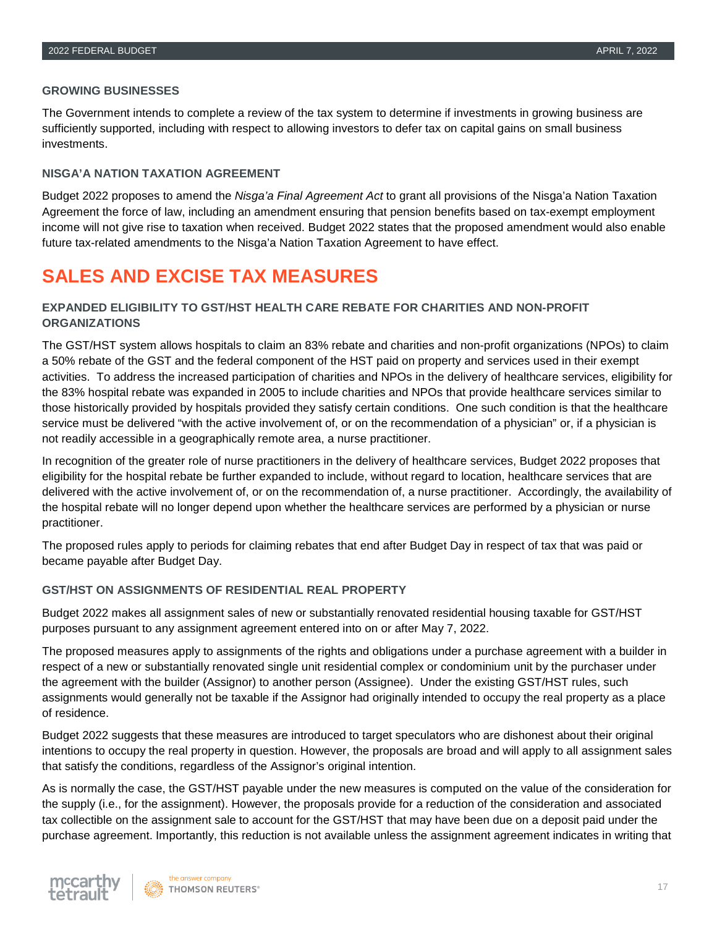#### **GROWING BUSINESSES**

The Government intends to complete a review of the tax system to determine if investments in growing business are sufficiently supported, including with respect to allowing investors to defer tax on capital gains on small business investments.

#### **NISGA'A NATION TAXATION AGREEMENT**

Budget 2022 proposes to amend the *Nisga'a Final Agreement Act* to grant all provisions of the Nisga'a Nation Taxation Agreement the force of law, including an amendment ensuring that pension benefits based on tax-exempt employment income will not give rise to taxation when received. Budget 2022 states that the proposed amendment would also enable future tax-related amendments to the Nisga'a Nation Taxation Agreement to have effect.

## **SALES AND EXCISE TAX MEASURES**

#### **EXPANDED ELIGIBILITY TO GST/HST HEALTH CARE REBATE FOR CHARITIES AND NON-PROFIT ORGANIZATIONS**

The GST/HST system allows hospitals to claim an 83% rebate and charities and non-profit organizations (NPOs) to claim a 50% rebate of the GST and the federal component of the HST paid on property and services used in their exempt activities. To address the increased participation of charities and NPOs in the delivery of healthcare services, eligibility for the 83% hospital rebate was expanded in 2005 to include charities and NPOs that provide healthcare services similar to those historically provided by hospitals provided they satisfy certain conditions. One such condition is that the healthcare service must be delivered "with the active involvement of, or on the recommendation of a physician" or, if a physician is not readily accessible in a geographically remote area, a nurse practitioner.

In recognition of the greater role of nurse practitioners in the delivery of healthcare services, Budget 2022 proposes that eligibility for the hospital rebate be further expanded to include, without regard to location, healthcare services that are delivered with the active involvement of, or on the recommendation of, a nurse practitioner. Accordingly, the availability of the hospital rebate will no longer depend upon whether the healthcare services are performed by a physician or nurse practitioner.

The proposed rules apply to periods for claiming rebates that end after Budget Day in respect of tax that was paid or became payable after Budget Day.

#### **GST/HST ON ASSIGNMENTS OF RESIDENTIAL REAL PROPERTY**

Budget 2022 makes all assignment sales of new or substantially renovated residential housing taxable for GST/HST purposes pursuant to any assignment agreement entered into on or after May 7, 2022.

The proposed measures apply to assignments of the rights and obligations under a purchase agreement with a builder in respect of a new or substantially renovated single unit residential complex or condominium unit by the purchaser under the agreement with the builder (Assignor) to another person (Assignee). Under the existing GST/HST rules, such assignments would generally not be taxable if the Assignor had originally intended to occupy the real property as a place of residence.

Budget 2022 suggests that these measures are introduced to target speculators who are dishonest about their original intentions to occupy the real property in question. However, the proposals are broad and will apply to all assignment sales that satisfy the conditions, regardless of the Assignor's original intention.

As is normally the case, the GST/HST payable under the new measures is computed on the value of the consideration for the supply (i.e., for the assignment). However, the proposals provide for a reduction of the consideration and associated tax collectible on the assignment sale to account for the GST/HST that may have been due on a deposit paid under the purchase agreement. Importantly, this reduction is not available unless the assignment agreement indicates in writing that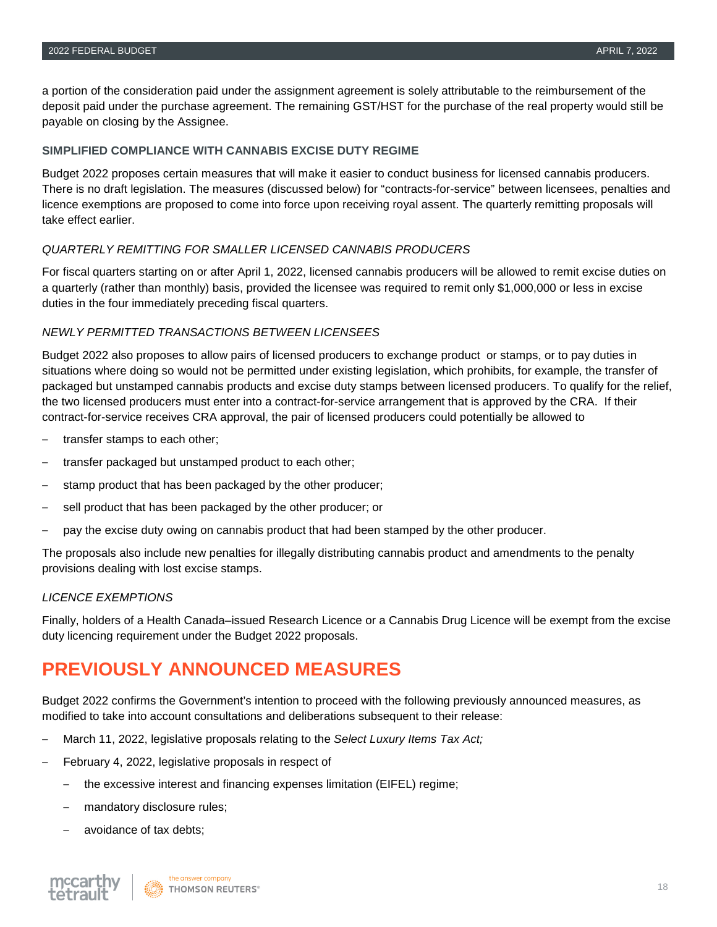a portion of the consideration paid under the assignment agreement is solely attributable to the reimbursement of the deposit paid under the purchase agreement. The remaining GST/HST for the purchase of the real property would still be payable on closing by the Assignee.

#### **SIMPLIFIED COMPLIANCE WITH CANNABIS EXCISE DUTY REGIME**

Budget 2022 proposes certain measures that will make it easier to conduct business for licensed cannabis producers. There is no draft legislation. The measures (discussed below) for "contracts-for-service" between licensees, penalties and licence exemptions are proposed to come into force upon receiving royal assent. The quarterly remitting proposals will take effect earlier.

#### *QUARTERLY REMITTING FOR SMALLER LICENSED CANNABIS PRODUCERS*

For fiscal quarters starting on or after April 1, 2022, licensed cannabis producers will be allowed to remit excise duties on a quarterly (rather than monthly) basis, provided the licensee was required to remit only \$1,000,000 or less in excise duties in the four immediately preceding fiscal quarters.

#### *NEWLY PERMITTED TRANSACTIONS BETWEEN LICENSEES*

Budget 2022 also proposes to allow pairs of licensed producers to exchange product or stamps, or to pay duties in situations where doing so would not be permitted under existing legislation, which prohibits, for example, the transfer of packaged but unstamped cannabis products and excise duty stamps between licensed producers. To qualify for the relief, the two licensed producers must enter into a contract-for-service arrangement that is approved by the CRA. If their contract-for-service receives CRA approval, the pair of licensed producers could potentially be allowed to

- ‒ transfer stamps to each other;
- ‒ transfer packaged but unstamped product to each other;
- stamp product that has been packaged by the other producer;
- sell product that has been packaged by the other producer; or
- ‒ pay the excise duty owing on cannabis product that had been stamped by the other producer.

The proposals also include new penalties for illegally distributing cannabis product and amendments to the penalty provisions dealing with lost excise stamps.

#### *LICENCE EXEMPTIONS*

Finally, holders of a Health Canada–issued Research Licence or a Cannabis Drug Licence will be exempt from the excise duty licencing requirement under the Budget 2022 proposals.

## **PREVIOUSLY ANNOUNCED MEASURES**

Budget 2022 confirms the Government's intention to proceed with the following previously announced measures, as modified to take into account consultations and deliberations subsequent to their release:

- ‒ March 11, 2022, legislative proposals relating to the *Select Luxury Items Tax Act;*
- ‒ February 4, 2022, legislative proposals in respect of
	- ‒ the excessive interest and financing expenses limitation (EIFEL) regime;
	- mandatory disclosure rules;
	- ‒ avoidance of tax debts;

the answer company THOMSON REUTERS®